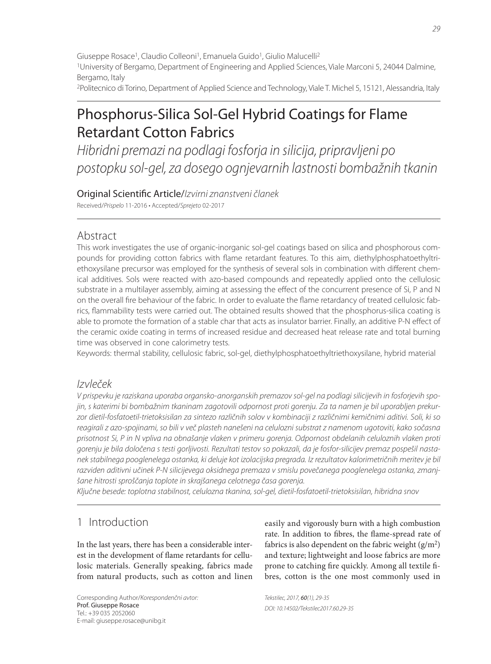2Politecnico di Torino, Department of Applied Science and Technology, Viale T. Michel 5, 15121, Alessandria, Italy

# Phosphorus-Silica Sol-Gel Hybrid Coatings for Flame Retardant Cotton Fabrics

Hibridni premazi na podlagi fosforja in silicija, pripravljeni po postopku sol-gel, za dosego ognjevarnih lastnosti bombažnih tkanin

Original Scientific Article/Izvirni znanstveni članek Received/Prispelo 11-2016 • Accepted/Sprejeto 02-2017

## Abstract

This work investigates the use of organic-inorganic sol-gel coatings based on silica and phosphorous compounds for providing cotton fabrics with flame retardant features. To this aim, diethylphosphatoethyltriethoxysilane precursor was employed for the synthesis of several sols in combination with different chemical additives. Sols were reacted with azo-based compounds and repeatedly applied onto the cellulosic substrate in a multilayer assembly, aiming at assessing the effect of the concurrent presence of Si, P and N on the overall fire behaviour of the fabric. In order to evaluate the flame retardancy of treated cellulosic fabrics, flammability tests were carried out. The obtained results showed that the phosphorus-silica coating is able to promote the formation of a stable char that acts as insulator barrier. Finally, an additive P-N effect of the ceramic oxide coating in terms of increased residue and decreased heat release rate and total burning time was observed in cone calorimetry tests.

Keywords: thermal stability, cellulosic fabric, sol-gel, diethylphosphatoethyltriethoxysilane, hybrid material

## Izvleček

V prispevku je raziskana uporaba organsko-anorganskih premazov sol-gel na podlagi silicijevih in fosforjevih spojin, s katerimi bi bombažnim tkaninam zagotovili odpornost proti gorenju. Za ta namen je bil uporabljen prekurzor dietil-fosfatoetil-trietoksisilan za sintezo različnih solov v kombinaciji z različnimi kemičnimi aditivi. Soli, ki so reagirali z azo-spojinami, so bili v več plasteh nanešeni na celulozni substrat z namenom ugotoviti, kako sočasna prisotnost Si, P in N vpliva na obnašanje vlaken v primeru gorenja. Odpornost obdelanih celuloznih vlaken proti gorenju je bila določena s testi gorljivosti. Rezultati testov so pokazali, da je fosfor-silicijev premaz pospešil nastanek stabilnega pooglenelega ostanka, ki deluje kot izolacijska pregrada. Iz rezultatov kalorimetričnih meritev je bil razviden aditivni učinek P-N silicijevega oksidnega premaza v smislu povečanega pooglenelega ostanka, zmanjšane hitrosti sproščanja toplote in skrajšanega celotnega časa gorenja.

Ključne besede: toplotna stabilnost, celulozna tkanina, sol-gel, dietil-fosfatoetil-trietoksisilan, hibridna snov

## 1 Introduction

In the last years, there has been a considerable interest in the development of flame retardants for cellulosic materials. Generally speaking, fabrics made from natural products, such as cotton and linen

Corresponding Author/Korespondenčni avtor: Prof. Giuseppe Rosace Tel.: +39 035 2052060 E-mail: giuseppe.rosace@unibg.it

easily and vigorously burn with a high combustion rate. In addition to fibres, the flame-spread rate of fabrics is also dependent on the fabric weight  $(g/m^2)$ and texture; lightweight and loose fabrics are more prone to catching fire quickly. Among all textile fibres, cotton is the one most commonly used in

Tekstilec, 2017, 60(1), 29-35 DOI: 10.14502/Tekstilec2017.60.29-35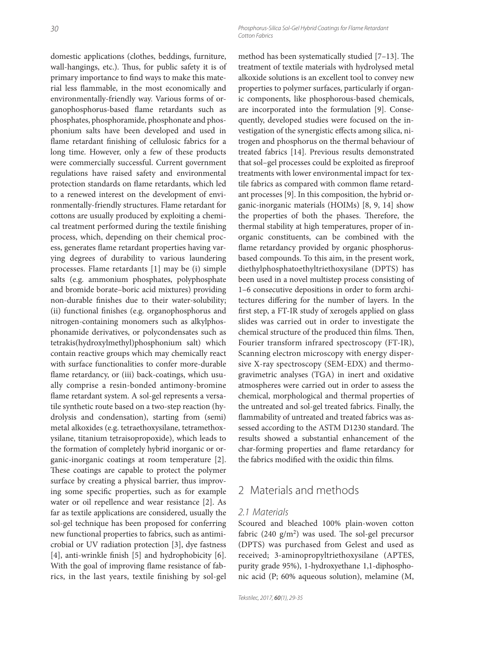30 Phosphorus-Silica Sol-Gel Hybrid Coatings for Flame Retardant Cotton Fabrics

domestic applications (clothes, beddings, furniture, wall-hangings, etc.). Thus, for public safety it is of primary importance to find ways to make this material less flammable, in the most economically and environmentally-friendly way. Various forms of organophosphorus-based flame retardants such as phosphates, phosphoramide, phosphonate and phosphonium salts have been developed and used in flame retardant finishing of cellulosic fabrics for a long time. However, only a few of these products were commercially successful. Current government regulations have raised safety and environmental protection standards on flame retardants, which led to a renewed interest on the development of environmentally-friendly structures. Flame retardant for cottons are usually produced by exploiting a chemical treatment performed during the textile finishing process, which, depending on their chemical process, generates flame retardant properties having varying degrees of durability to various laundering processes. Flame retardants [1] may be (i) simple salts (e.g. ammonium phosphates, polyphosphate and bromide borate–boric acid mixtures) providing non-durable finishes due to their water-solubility; (ii) functional finishes (e.g. organophosphorus and nitrogen-containing monomers such as alkylphosphonamide derivatives, or polycondensates such as tetrakis(hydroxylmethyl)phosphonium salt) which contain reactive groups which may chemically react with surface functionalities to confer more-durable flame retardancy, or (iii) back-coatings, which usually comprise a resin-bonded antimony-bromine flame retardant system. A sol-gel represents a versatile synthetic route based on a two-step reaction (hydrolysis and condensation), starting from (semi) metal alkoxides (e.g. tetraethoxysilane, tetramethoxysilane, titanium tetraisopropoxide), which leads to the formation of completely hybrid inorganic or organic-inorganic coatings at room temperature [2]. These coatings are capable to protect the polymer surface by creating a physical barrier, thus improving some specific properties, such as for example water or oil repellence and wear resistance [2]. As far as textile applications are considered, usually the sol-gel technique has been proposed for conferring new functional properties to fabrics, such as antimicrobial or UV radiation protection [3], dye fastness  $[4]$ , anti-wrinkle finish  $[5]$  and hydrophobicity  $[6]$ . With the goal of improving flame resistance of fabrics, in the last years, textile finishing by sol-gel method has been systematically studied  $[7-13]$ . The treatment of textile materials with hydrolysed metal alkoxide solutions is an excellent tool to convey new properties to polymer surfaces, particularly if organic components, like phosphorous-based chemicals, are incorporated into the formulation [9]. Consequently, developed studies were focused on the investigation of the synergistic effects among silica, nitrogen and phosphorus on the thermal behaviour of treated fabrics [14]. Previous results demonstrated that sol-gel processes could be exploited as fireproof treatments with lower environmental impact for textile fabrics as compared with common flame retardant processes [9]. In this composition, the hybrid organic-inorganic materials (HOIMs) [8, 9, 14] show the properties of both the phases. Therefore, the thermal stability at high temperatures, proper of inorganic constituents, can be combined with the flame retardancy provided by organic phosphorusbased compounds. To this aim, in the present work, diethylphosphatoethyltriethoxysilane (DPTS) has been used in a novel multistep process consisting of 1–6 consecutive depositions in order to form architectures differing for the number of layers. In the first step, a FT-IR study of xerogels applied on glass slides was carried out in order to investigate the chemical structure of the produced thin films. Then, Fourier transform infrared spectroscopy (FT-IR), Scanning electron microscopy with energy dispersive X-ray spectroscopy (SEM-EDX) and thermogravimetric analyses (TGA) in inert and oxidative atmospheres were carried out in order to assess the chemical, morphological and thermal properties of the untreated and sol-gel treated fabrics. Finally, the flammability of untreated and treated fabrics was assessed according to the ASTM D1230 standard. The results showed a substantial enhancement of the char-forming properties and flame retardancy for the fabrics modified with the oxidic thin films.

## 2 Materials and methods

#### 2.1 Materials

Scoured and bleached 100% plain-woven cotton fabric (240 g/m<sup>2</sup>) was used. The sol-gel precursor (DPTS) was purchased from Gelest and used as received; 3-aminopropyltriethoxysilane (APTES, purity grade 95%), 1-hydroxyethane 1,1-diphosphonic acid (P; 60% aqueous solution), melamine (M,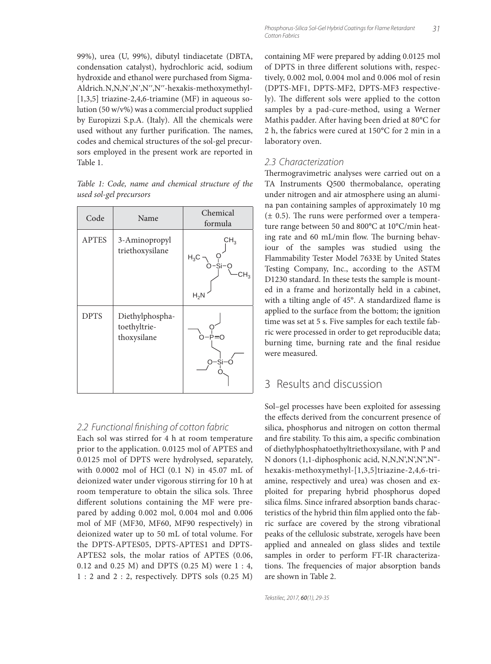99%), urea (U, 99%), dibutyl tindiacetate (DBTA, condensation catalyst), hydrochloric acid, sodium hydroxide and ethanol were purchased from Sigma-Aldrich. N,N,N',N',N'',N''-hexakis-methoxymethyl- $[1,3,5]$  triazine-2,4,6-triamine (MF) in aqueous solution (50 w/v%) was a commercial product supplied by Europizzi S.p.A. (Italy). All the chemicals were used without any further purification. The names, codes and chemical structures of the sol-gel precursors employed in the present work are reported in Table 1.

|  |                         |  | Table 1: Code, name and chemical structure of the |  |
|--|-------------------------|--|---------------------------------------------------|--|
|  | used sol-gel precursors |  |                                                   |  |

| Code         | Name                                           | Chemical<br>formula                   |  |  |
|--------------|------------------------------------------------|---------------------------------------|--|--|
| <b>APTES</b> | 3-Aminopropyl<br>triethoxysilane               | $CH_{3}$<br>$H_3C$<br>-si-o<br>$H_2N$ |  |  |
| <b>DPTS</b>  | Diethylphospha-<br>toethyltrie-<br>thoxysilane | P=O<br>Si-                            |  |  |

### 2.2 Functional finishing of cotton fabric

Each sol was stirred for 4 h at room temperature prior to the application. 0.0125 mol of APTES and 0.0125 mol of DPTS were hydrolysed, separately, with 0.0002 mol of HCl (0.1 N) in 45.07 mL of deionized water under vigorous stirring for 10 h at room temperature to obtain the silica sols. Three different solutions containing the MF were prepared by adding 0.002 mol, 0.004 mol and 0.006 mol of MF (MF30, MF60, MF90 respectively) in deionized water up to 50 mL of total volume. For the DPTS-APTES05, DPTS-APTES1 and DPTS-APTES2 sols, the molar ratios of APTES (0.06, 0.12 and 0.25 M) and DPTS (0.25 M) were 1 : 4, 1 : 2 and 2 : 2, respectively. DPTS sols (0.25 M)

containing MF were prepared by adding 0.0125 mol of DPTS in three different solutions with, respectively, 0.002 mol, 0.004 mol and 0.006 mol of resin (DPTS-MF1, DPTS-MF2, DPTS-MF3 respectively). The different sols were applied to the cotton samples by a pad-cure-method, using a Werner Mathis padder. After having been dried at 80°C for 2 h, the fabrics were cured at 150°C for 2 min in a laboratory oven.

### 2.3 Characterization

Thermogravimetric analyses were carried out on a TA Instruments Q500 thermobalance, operating under nitrogen and air atmosphere using an alumina pan containing samples of approximately 10 mg  $(± 0.5)$ . The runs were performed over a temperature range between 50 and 800°C at 10°C/min heating rate and 60 mL/min flow. The burning behaviour of the samples was studied using the Flammability Tester Model 7633E by United States Testing Company, Inc., according to the ASTM D1230 standard. In these tests the sample is mounted in a frame and horizontally held in a cabinet, with a tilting angle of 45°. A standardized flame is applied to the surface from the bottom; the ignition time was set at 5 s. Five samples for each textile fabric were processed in order to get reproducible data; burning time, burning rate and the final residue were measured.

## 3 Results and discussion

Sol–gel processes have been exploited for assessing the effects derived from the concurrent presence of silica, phosphorus and nitrogen on cotton thermal and fire stability. To this aim, a specific combination of diethylphosphatoethyltriethoxysilane, with P and N donors (1,1-diphosphonic acid, N,N,N',N',N'',N'' hexakis-methoxymethyl-[1,3,5]triazine-2,4,6-triamine, respectively and urea) was chosen and exploited for preparing hybrid phosphorus doped silica films. Since infrared absorption bands characteristics of the hybrid thin film applied onto the fabric surface are covered by the strong vibrational peaks of the cellulosic substrate, xerogels have been applied and annealed on glass slides and textile samples in order to perform FT-IR characterizations. The frequencies of major absorption bands are shown in Table 2.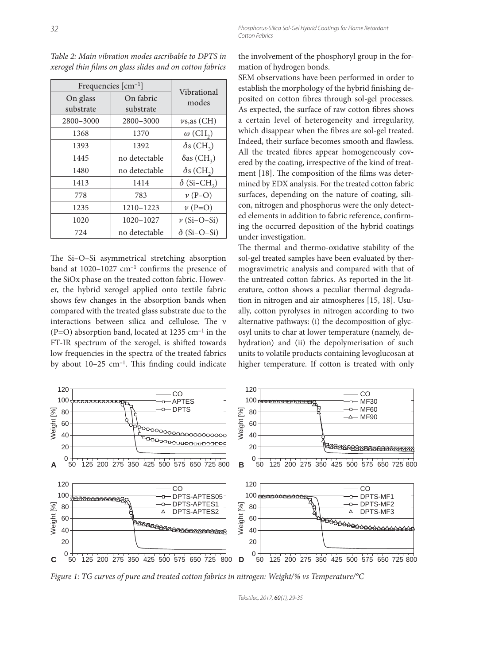| Frequencies [cm <sup>-1</sup> ] | Vibrational            |                                |  |
|---------------------------------|------------------------|--------------------------------|--|
| On glass<br>substrate           | On fabric<br>substrate | modes                          |  |
| 2800-3000                       | 2800-3000              | $\nu$ s, as (CH)               |  |
| 1368                            | 1370                   | $\omega$ (CH <sub>2</sub> )    |  |
| 1393                            | 1392                   | $\delta s$ (CH <sub>3</sub> )  |  |
| 1445                            | no detectable          | $\delta$ as (CH <sub>3</sub> ) |  |
| 1480                            | no detectable          | $\delta s$ (CH <sub>2</sub> )  |  |
| 1413                            | 1414                   | $\delta$ (Si-CH <sub>2</sub> ) |  |
| 778                             | 783                    | $\nu$ (P–O)                    |  |
| 1235                            | 1210-1223              | $\nu$ (P=O)                    |  |
| 1020                            | 1020-1027              | $\nu$ (Si-O-Si)                |  |
| 724                             | no detectable          | $\delta$ (Si–O–Si)             |  |

*Table 2: Main vibration modes ascribable to DPTS in xerogel thin fi lms on glass slides and on cotton fabrics*

The Si-O-Si asymmetrical stretching absorption band at  $1020-1027$  cm<sup>-1</sup> confirms the presence of the SiOx phase on the treated cotton fabric. However, the hybrid xerogel applied onto textile fabric shows few changes in the absorption bands when compared with the treated glass substrate due to the interactions between silica and cellulose. The ν  $(P=O)$  absorption band, located at 1235 cm<sup>-1</sup> in the FT-IR spectrum of the xerogel, is shifted towards low frequencies in the spectra of the treated fabrics by about  $10-25$  cm<sup>-1</sup>. This finding could indicate

the involvement of the phosphoryl group in the formation of hydrogen bonds.

SEM observations have been performed in order to establish the morphology of the hybrid finishing deposited on cotton fibres through sol-gel processes. As expected, the surface of raw cotton fibres shows a certain level of heterogeneity and irregularity, which disappear when the fibres are sol-gel treated. Indeed, their surface becomes smooth and flawless. All the treated fibres appear homogeneously covered by the coating, irrespective of the kind of treatment [18]. The composition of the films was determined by EDX analysis. For the treated cotton fabric surfaces, depending on the nature of coating, silicon, nitrogen and phosphorus were the only detected elements in addition to fabric reference, confirming the occurred deposition of the hybrid coatings under investigation.

The thermal and thermo-oxidative stability of the sol-gel treated samples have been evaluated by thermogravimetric analysis and compared with that of the untreated cotton fabrics. As reported in the literature, cotton shows a peculiar thermal degradation in nitrogen and air atmospheres [15, 18]. Usually, cotton pyrolyses in nitrogen according to two alternative pathways: (i) the decomposition of glycosyl units to char at lower temperature (namely, dehydration) and (ii) the depolymerisation of such units to volatile products containing levoglucosan at higher temperature. If cotton is treated with only



*Figure 1: TG curves of pure and treated cotton fabrics in nitrogen: Weight/% vs Temperature/°C*

Tekstilec, 2017, 60(1), 29-35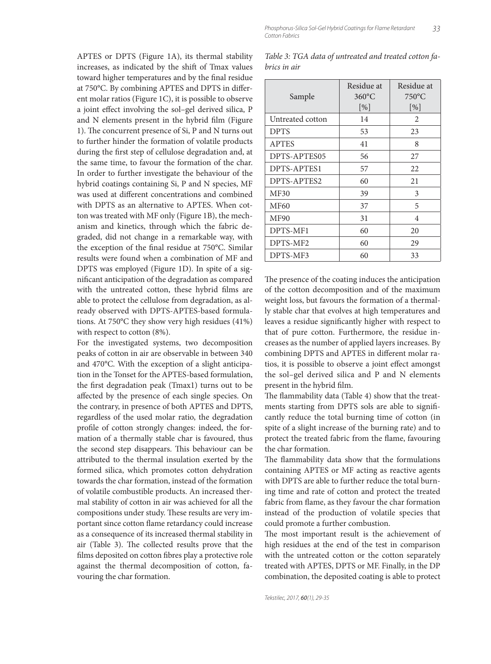APTES or DPTS (Figure 1A), its thermal stability increases, as indicated by the shift of Tmax values toward higher temperatures and by the final residue at 750°C. By combining APTES and DPTS in different molar ratios (Figure 1C), it is possible to observe a joint effect involving the sol-gel derived silica, P and N elements present in the hybrid film (Figure 1). The concurrent presence of Si, P and N turns out to further hinder the formation of volatile products during the first step of cellulose degradation and, at the same time, to favour the formation of the char. In order to further investigate the behaviour of the hybrid coatings containing Si, P and N species, MF was used at different concentrations and combined with DPTS as an alternative to APTES. When cotton was treated with MF only (Figure 1B), the mechanism and kinetics, through which the fabric degraded, did not change in a remarkable way, with the exception of the final residue at 750°C. Similar results were found when a combination of MF and DPTS was employed (Figure 1D). In spite of a significant anticipation of the degradation as compared with the untreated cotton, these hybrid films are able to protect the cellulose from degradation, as already observed with DPTS-APTES-based formulations. At 750°C they show very high residues (41%) with respect to cotton (8%).

For the investigated systems, two decomposition peaks of cotton in air are observable in between 340 and 470°C. With the exception of a slight anticipation in the Tonset for the APTES-based formulation, the first degradation peak (Tmax1) turns out to be affected by the presence of each single species. On the contrary, in presence of both APTES and DPTS, regardless of the used molar ratio, the degradation profile of cotton strongly changes: indeed, the formation of a thermally stable char is favoured, thus the second step disappears. This behaviour can be attributed to the thermal insulation exerted by the formed silica, which promotes cotton dehydration towards the char formation, instead of the formation of volatile combustible products. An increased thermal stability of cotton in air was achieved for all the compositions under study. These results are very important since cotton flame retardancy could increase as a consequence of its increased thermal stability in air (Table 3). The collected results prove that the films deposited on cotton fibres play a protective role against the thermal decomposition of cotton, favouring the char formation.

Phosphorus-Silica Sol-Gel Hybrid Coatings for Flame Retardant 33 Cotton Fabrics

| Table 3: TGA data of untreated and treated cotton fa- |  |  |  |
|-------------------------------------------------------|--|--|--|
| brics in air                                          |  |  |  |

| Sample           | Residue at<br>$360^{\circ}$ C<br>$\lceil \frac{9}{6} \rceil$ | Residue at<br>$750^{\circ}$ C<br>$[\%]$ |
|------------------|--------------------------------------------------------------|-----------------------------------------|
| Untreated cotton | 14                                                           | 2                                       |
| <b>DPTS</b>      | 53                                                           | 23                                      |
| <b>APTES</b>     | 41                                                           | 8                                       |
| DPTS-APTES05     | 56                                                           | 27                                      |
| DPTS-APTES1      | 57                                                           | 22                                      |
| DPTS-APTES2      | 60                                                           | 21                                      |
| <b>MF30</b>      | 39                                                           | 3                                       |
| MF60             | 37                                                           | 5                                       |
| MF90             | 31                                                           | 4                                       |
| DPTS-MF1         | 60                                                           | 20                                      |
| DPTS-MF2         | 60                                                           | 29                                      |
| DPTS-MF3         | 60                                                           | 33                                      |

The presence of the coating induces the anticipation of the cotton decomposition and of the maximum weight loss, but favours the formation of a thermally stable char that evolves at high temperatures and leaves a residue significantly higher with respect to that of pure cotton. Furthermore, the residue increases as the number of applied layers increases. By combining DPTS and APTES in different molar ratios, it is possible to observe a joint effect amongst the sol–gel derived silica and P and N elements present in the hybrid film.

The flammability data (Table 4) show that the treatments starting from DPTS sols are able to significantly reduce the total burning time of cotton (in spite of a slight increase of the burning rate) and to protect the treated fabric from the flame, favouring the char formation.

The flammability data show that the formulations containing APTES or MF acting as reactive agents with DPTS are able to further reduce the total burning time and rate of cotton and protect the treated fabric from flame, as they favour the char formation instead of the production of volatile species that could promote a further combustion.

The most important result is the achievement of high residues at the end of the test in comparison with the untreated cotton or the cotton separately treated with APTES, DPTS or MF. Finally, in the DP combination, the deposited coating is able to protect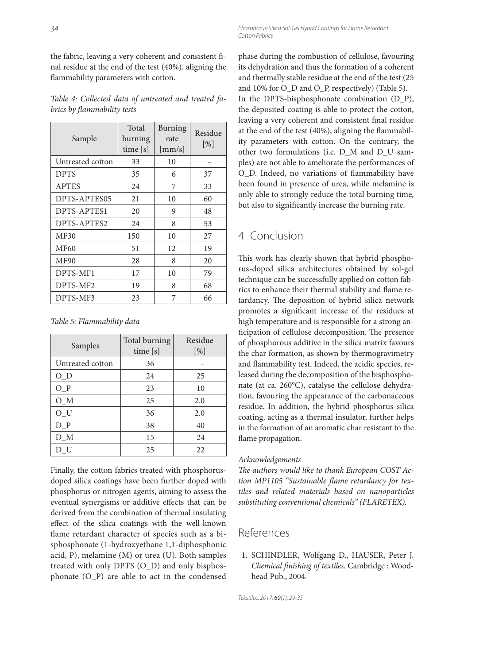the fabric, leaving a very coherent and consistent final residue at the end of the test (40%), aligning the flammability parameters with cotton.

*Table 4: Collected data of untreated and treated fabrics by fl ammability tests*

| Sample           | Total<br>burning<br>time [s] | <b>Burning</b><br>rate<br>$\lfloor$ mm/s $\rfloor$ | Residue<br>$\lceil \frac{9}{6} \rceil$ |
|------------------|------------------------------|----------------------------------------------------|----------------------------------------|
| Untreated cotton | 33                           | 10                                                 |                                        |
| <b>DPTS</b>      | 35                           | 6                                                  | 37                                     |
| <b>APTES</b>     | 24                           | 7                                                  | 33                                     |
| DPTS-APTES05     | 21                           | 10                                                 | 60                                     |
| DPTS-APTES1      | 20                           | 9                                                  | 48                                     |
| DPTS-APTES2      | 24                           | 8                                                  | 53                                     |
| MF30             | 150                          | 10                                                 | 27                                     |
| <b>MF60</b>      | 51                           | 12                                                 | 19                                     |
| <b>MF90</b>      | 28                           | 8                                                  | 20                                     |
| DPTS-MF1         | 17                           | 10                                                 | 79                                     |
| DPTS-MF2         | 19                           | 8                                                  | 68                                     |
| DPTS-MF3         | 23                           | 7                                                  | 66                                     |

|  |  |  |  | Table 5: Flammability data |  |  |  |
|--|--|--|--|----------------------------|--|--|--|
|--|--|--|--|----------------------------|--|--|--|

| Samples          | Total burning<br>time [s] | Residue<br>$[\%]$ |
|------------------|---------------------------|-------------------|
| Untreated cotton | 36                        |                   |
| $O_D$            | 24                        | 25                |
| $O_P$            | 23                        | 10                |
| $O_{M}$          | 25                        | 2.0               |
| $O_{U}$          | 36                        | 2.0               |
| $D_P$            | 38                        | 40                |
| D M              | 15                        | 24                |
| DU               | 25                        | 22                |

Finally, the cotton fabrics treated with phosphorusdoped silica coatings have been further doped with phosphorus or nitrogen agents, aiming to assess the eventual synergisms or additive effects that can be derived from the combination of thermal insulating effect of the silica coatings with the well-known flame retardant character of species such as a bisphosphonate (1-hydroxyethane 1,1-diphosphonic acid, P), melamine (M) or urea (U). Both samples treated with only DPTS (O\_D) and only bisphosphonate (O\_P) are able to act in the condensed

phase during the combustion of cellulose, favouring its dehydration and thus the formation of a coherent and thermally stable residue at the end of the test (25 and 10% for O\_D and O\_P, respectively) (Table 5). In the DPTS-bisphosphonate combination (D\_P), the deposited coating is able to protect the cotton, leaving a very coherent and consistent final residue at the end of the test  $(40\%)$ , aligning the flammability parameters with cotton. On the contrary, the other two formulations (i.e. D\_M and D\_U samples) are not able to ameliorate the performances of O D. Indeed, no variations of flammability have been found in presence of urea, while melamine is only able to strongly reduce the total burning time, but also to significantly increase the burning rate.

## 4 Conclusion

This work has clearly shown that hybrid phosphorus-doped silica architectures obtained by sol-gel technique can be successfully applied on cotton fabrics to enhance their thermal stability and flame retardancy. The deposition of hybrid silica network promotes a significant increase of the residues at high temperature and is responsible for a strong anticipation of cellulose decomposition. The presence of phosphorous additive in the silica matrix favours the char formation, as shown by thermogravimetry and flammability test. Indeed, the acidic species, released during the decomposition of the bisphosphonate (at ca. 260°C), catalyse the cellulose dehydration, favouring the appearance of the carbonaceous residue. In addition, the hybrid phosphorus silica coating, acting as a thermal insulator, further helps in the formation of an aromatic char resistant to the flame propagation.

#### *Acknowledgements*

The authors would like to thank European COST Action MP1105 "Sustainable flame retardancy for tex*tiles and related materials based on nanoparticles substituting conventional chemicals" (FLARETEX).*

## References

 1. SCHINDLER, Wolfgang D., HAUSER, Peter J. *Chemical fi nishing of textiles*. Cambridge : Woodhead Pub., 2004.